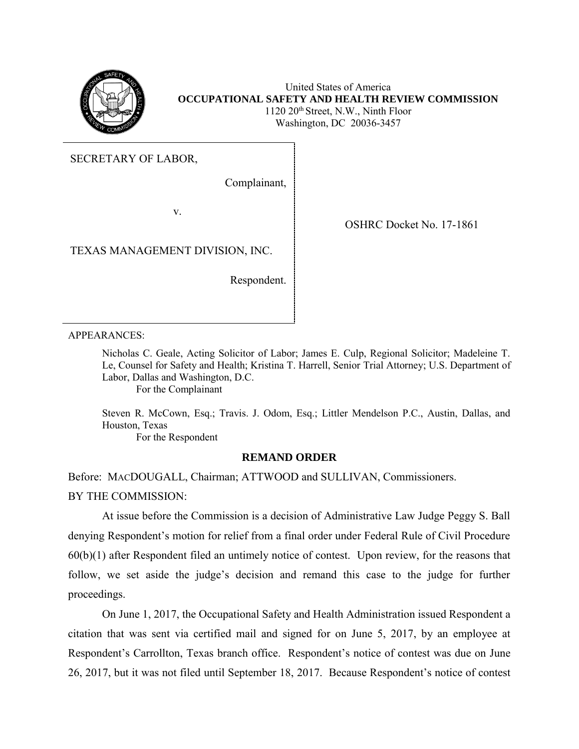

United States of America **OCCUPATIONAL SAFETY AND HEALTH REVIEW COMMISSION** 1120 20<sup>th</sup> Street, N.W., Ninth Floor Washington, DC 20036-3457

SECRETARY OF LABOR,

Complainant,

v.

TEXAS MANAGEMENT DIVISION, INC.

Respondent.

OSHRC Docket No. 17-1861

APPEARANCES:

Nicholas C. Geale, Acting Solicitor of Labor; James E. Culp, Regional Solicitor; Madeleine T. Le, Counsel for Safety and Health; Kristina T. Harrell, Senior Trial Attorney; U.S. Department of Labor, Dallas and Washington, D.C.

For the Complainant

Steven R. McCown, Esq.; Travis. J. Odom, Esq.; Littler Mendelson P.C., Austin, Dallas, and Houston, Texas

For the Respondent

# **REMAND ORDER**

Before: MACDOUGALL, Chairman; ATTWOOD and SULLIVAN, Commissioners. BY THE COMMISSION:

At issue before the Commission is a decision of Administrative Law Judge Peggy S. Ball denying Respondent's motion for relief from a final order under Federal Rule of Civil Procedure 60(b)(1) after Respondent filed an untimely notice of contest. Upon review, for the reasons that follow, we set aside the judge's decision and remand this case to the judge for further proceedings.

On June 1, 2017, the Occupational Safety and Health Administration issued Respondent a citation that was sent via certified mail and signed for on June 5, 2017, by an employee at Respondent's Carrollton, Texas branch office. Respondent's notice of contest was due on June 26, 2017, but it was not filed until September 18, 2017. Because Respondent's notice of contest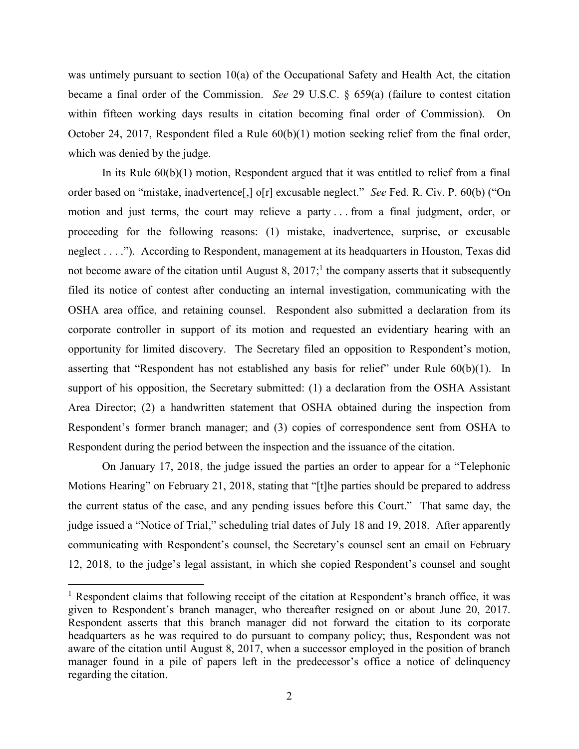was untimely pursuant to section 10(a) of the Occupational Safety and Health Act, the citation became a final order of the Commission. *See* [29 U.S.C. § 659\(a\)](http://www.westlaw.com/Link/Document/FullText?findType=L&pubNum=1000546&cite=29USCAS659&originatingDoc=I26a572febfb911e5b4bafa136b480ad2&refType=RB&originationContext=document&vr=3.0&rs=cblt1.0&transitionType=DocumentItem&contextData=(sc.History*oc.Search)#co_pp_8b3b0000958a4) (failure to contest citation within fifteen working days results in citation becoming final order of Commission). On October 24, 2017, Respondent filed a Rule 60(b)(1) motion seeking relief from the final order, which was denied by the judge.

In its Rule 60(b)(1) motion, Respondent argued that it was entitled to relief from a final order based on "mistake, inadvertence[,] o[r] excusable neglect." *See* Fed. R. Civ. P. 60(b) ("On motion and just terms, the court may relieve a party . . . from a final judgment, order, or proceeding for the following reasons: (1) mistake, inadvertence, surprise, or excusable neglect . . . ."). According to Respondent, management at its headquarters in Houston, Texas did not become aware of the citation until August 8, 2017;<sup>1</sup> the company asserts that it subsequently filed its notice of contest after conducting an internal investigation, communicating with the OSHA area office, and retaining counsel. Respondent also submitted a declaration from its corporate controller in support of its motion and requested an evidentiary hearing with an opportunity for limited discovery. The Secretary filed an opposition to Respondent's motion, asserting that "Respondent has not established any basis for relief" under Rule 60(b)(1). In support of his opposition, the Secretary submitted: (1) a declaration from the OSHA Assistant Area Director; (2) a handwritten statement that OSHA obtained during the inspection from Respondent's former branch manager; and (3) copies of correspondence sent from OSHA to Respondent during the period between the inspection and the issuance of the citation.

On January 17, 2018, the judge issued the parties an order to appear for a "Telephonic Motions Hearing" on February 21, 2018, stating that "[t]he parties should be prepared to address the current status of the case, and any pending issues before this Court." That same day, the judge issued a "Notice of Trial," scheduling trial dates of July 18 and 19, 2018. After apparently communicating with Respondent's counsel, the Secretary's counsel sent an email on February 12, 2018, to the judge's legal assistant, in which she copied Respondent's counsel and sought

 $\overline{a}$ 

<sup>&</sup>lt;sup>1</sup> Respondent claims that following receipt of the citation at Respondent's branch office, it was given to Respondent's branch manager, who thereafter resigned on or about June 20, 2017. Respondent asserts that this branch manager did not forward the citation to its corporate headquarters as he was required to do pursuant to company policy; thus, Respondent was not aware of the citation until August 8, 2017, when a successor employed in the position of branch manager found in a pile of papers left in the predecessor's office a notice of delinquency regarding the citation.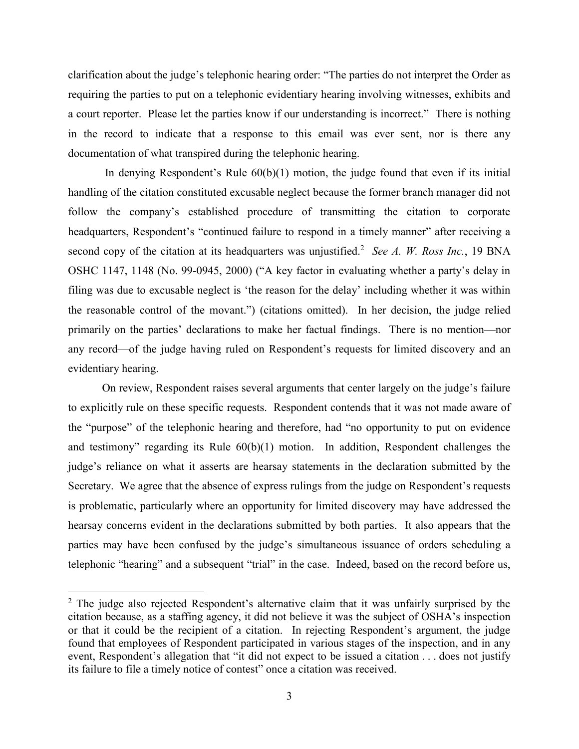clarification about the judge's telephonic hearing order: "The parties do not interpret the Order as requiring the parties to put on a telephonic evidentiary hearing involving witnesses, exhibits and a court reporter. Please let the parties know if our understanding is incorrect." There is nothing in the record to indicate that a response to this email was ever sent, nor is there any documentation of what transpired during the telephonic hearing.

In denying Respondent's Rule 60(b)(1) motion, the judge found that even if its initial handling of the citation constituted excusable neglect because the former branch manager did not follow the company's established procedure of transmitting the citation to corporate headquarters, Respondent's "continued failure to respond in a timely manner" after receiving a second copy of the citation at its headquarters was unjustified.<sup>2</sup> See A. W. Ross Inc., 19 BNA OSHC 1147, 1148 (No. 99-0945, 2000) ("A key factor in evaluating whether a party's delay in filing was due to excusable neglect is 'the reason for the delay' including whether it was within the reasonable control of the movant.") (citations omitted). In her decision, the judge relied primarily on the parties' declarations to make her factual findings. There is no mention—nor any record—of the judge having ruled on Respondent's requests for limited discovery and an evidentiary hearing.

On review, Respondent raises several arguments that center largely on the judge's failure to explicitly rule on these specific requests. Respondent contends that it was not made aware of the "purpose" of the telephonic hearing and therefore, had "no opportunity to put on evidence and testimony" regarding its Rule 60(b)(1) motion. In addition, Respondent challenges the judge's reliance on what it asserts are hearsay statements in the declaration submitted by the Secretary. We agree that the absence of express rulings from the judge on Respondent's requests is problematic, particularly where an opportunity for limited discovery may have addressed the hearsay concerns evident in the declarations submitted by both parties. It also appears that the parties may have been confused by the judge's simultaneous issuance of orders scheduling a telephonic "hearing" and a subsequent "trial" in the case. Indeed, based on the record before us,

 $\overline{\phantom{a}}$ 

<sup>&</sup>lt;sup>2</sup> The judge also rejected Respondent's alternative claim that it was unfairly surprised by the citation because, as a staffing agency, it did not believe it was the subject of OSHA's inspection or that it could be the recipient of a citation. In rejecting Respondent's argument, the judge found that employees of Respondent participated in various stages of the inspection, and in any event, Respondent's allegation that "it did not expect to be issued a citation . . . does not justify its failure to file a timely notice of contest" once a citation was received.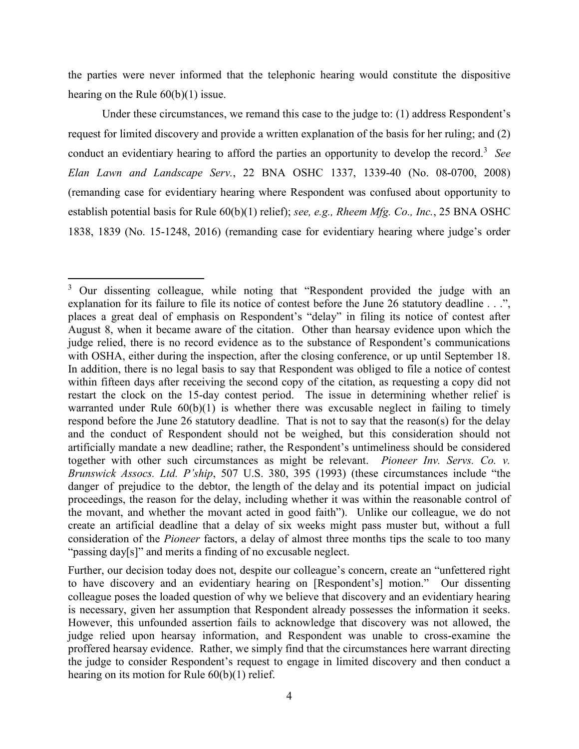the parties were never informed that the telephonic hearing would constitute the dispositive hearing on the Rule 60(b)(1) issue.

Under these circumstances, we remand this case to the judge to: (1) address Respondent's request for limited discovery and provide a written explanation of the basis for her ruling; and (2) conduct an evidentiary hearing to afford the parties an opportunity to develop the record. 3 *See Elan Lawn and Landscape Serv.*, 22 BNA OSHC 1337, 1339-40 (No. 08-0700, 2008) (remanding case for evidentiary hearing where Respondent was confused about opportunity to establish potential basis for Rule 60(b)(1) relief); *see, e.g., Rheem Mfg. Co., Inc.*, 25 BNA OSHC 1838, 1839 (No. 15-1248, 2016) (remanding case for evidentiary hearing where judge's order

 $\overline{\phantom{a}}$ 

<sup>&</sup>lt;sup>3</sup> Our dissenting colleague, while noting that "Respondent provided the judge with an explanation for its failure to file its notice of contest before the June 26 statutory deadline . . .", places a great deal of emphasis on Respondent's "delay" in filing its notice of contest after August 8, when it became aware of the citation. Other than hearsay evidence upon which the judge relied, there is no record evidence as to the substance of Respondent's communications with OSHA, either during the inspection, after the closing conference, or up until September 18. In addition, there is no legal basis to say that Respondent was obliged to file a notice of contest within fifteen days after receiving the second copy of the citation, as requesting a copy did not restart the clock on the 15-day contest period. The issue in determining whether relief is warranted under Rule  $60(b)(1)$  is whether there was excusable neglect in failing to timely respond before the June 26 statutory deadline. That is not to say that the reason(s) for the delay and the conduct of Respondent should not be weighed, but this consideration should not artificially mandate a new deadline; rather, the Respondent's untimeliness should be considered together with other such circumstances as might be relevant. *Pioneer Inv. Servs. Co. v. Brunswick Assocs. Ltd. P'ship*, 507 U.S. 380, 395 (1993) (these circumstances include "the danger of prejudice to the debtor, the length of the delay and its potential impact on judicial proceedings, the reason for the delay, including whether it was within the reasonable control of the movant, and whether the movant acted in good faith"). Unlike our colleague, we do not create an artificial deadline that a delay of six weeks might pass muster but, without a full consideration of the *Pioneer* factors, a delay of almost three months tips the scale to too many "passing day[s]" and merits a finding of no excusable neglect.

Further, our decision today does not, despite our colleague's concern, create an "unfettered right to have discovery and an evidentiary hearing on [Respondent's] motion." Our dissenting colleague poses the loaded question of why we believe that discovery and an evidentiary hearing is necessary, given her assumption that Respondent already possesses the information it seeks. However, this unfounded assertion fails to acknowledge that discovery was not allowed, the judge relied upon hearsay information, and Respondent was unable to cross-examine the proffered hearsay evidence. Rather, we simply find that the circumstances here warrant directing the judge to consider Respondent's request to engage in limited discovery and then conduct a hearing on its motion for Rule 60(b)(1) relief.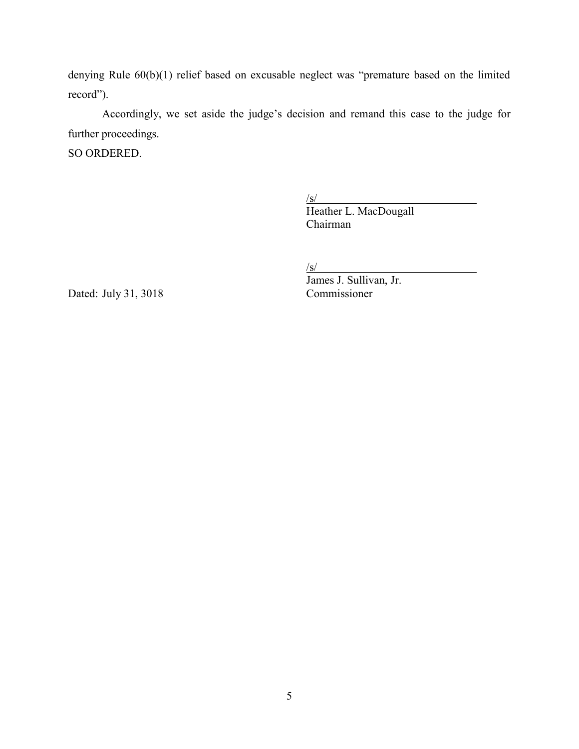denying Rule 60(b)(1) relief based on excusable neglect was "premature based on the limited record").

Accordingly, we set aside the judge's decision and remand this case to the judge for further proceedings. SO ORDERED.

 $\sqrt{s/2}$ 

Heather L. MacDougall Chairman

 $/s/$ 

Dated: July 31, 3018 Commissioner

James J. Sullivan, Jr.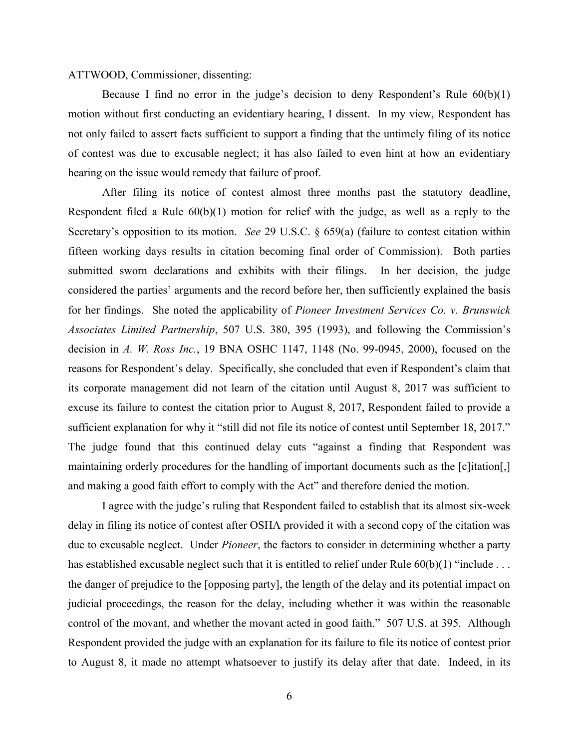### ATTWOOD, Commissioner, dissenting:

Because I find no error in the judge's decision to deny Respondent's Rule  $60(b)(1)$ motion without first conducting an evidentiary hearing, I dissent. In my view, Respondent has not only failed to assert facts sufficient to support a finding that the untimely filing of its notice of contest was due to excusable neglect; it has also failed to even hint at how an evidentiary hearing on the issue would remedy that failure of proof.

After filing its notice of contest almost three months past the statutory deadline, Respondent filed a Rule 60(b)(1) motion for relief with the judge, as well as a reply to the Secretary's opposition to its motion. *See* [29 U.S.C. § 659\(a\)](http://www.westlaw.com/Link/Document/FullText?findType=L&pubNum=1000546&cite=29USCAS659&originatingDoc=I26a572febfb911e5b4bafa136b480ad2&refType=RB&originationContext=document&vr=3.0&rs=cblt1.0&transitionType=DocumentItem&contextData=(sc.History*oc.Search)#co_pp_8b3b0000958a4) (failure to contest citation within fifteen working days results in citation becoming final order of Commission). Both parties submitted sworn declarations and exhibits with their filings. In her decision, the judge considered the parties' arguments and the record before her, then sufficiently explained the basis for her findings. She noted the applicability of *Pioneer Investment Services Co. v. Brunswick Associates Limited Partnership*, 507 U.S. 380, 395 (1993), and following the Commission's decision in *A. W. Ross Inc.*, 19 BNA OSHC 1147, 1148 (No. 99-0945, 2000), focused on the reasons for Respondent's delay. Specifically, she concluded that even if Respondent's claim that its corporate management did not learn of the citation until August 8, 2017 was sufficient to excuse its failure to contest the citation prior to August 8, 2017, Respondent failed to provide a sufficient explanation for why it "still did not file its notice of contest until September 18, 2017." The judge found that this continued delay cuts "against a finding that Respondent was maintaining orderly procedures for the handling of important documents such as the [c]itation[,] and making a good faith effort to comply with the Act" and therefore denied the motion.

I agree with the judge's ruling that Respondent failed to establish that its almost six-week delay in filing its notice of contest after OSHA provided it with a second copy of the citation was due to excusable neglect. Under *Pioneer*, the factors to consider in determining whether a party has established excusable neglect such that it is entitled to relief under Rule 60(b)(1) "include ... the danger of prejudice to the [opposing party], the length of the delay and its potential impact on judicial proceedings, the reason for the delay, including whether it was within the reasonable control of the movant, and whether the movant acted in good faith." 507 U.S. at 395. Although Respondent provided the judge with an explanation for its failure to file its notice of contest prior to August 8, it made no attempt whatsoever to justify its delay after that date. Indeed, in its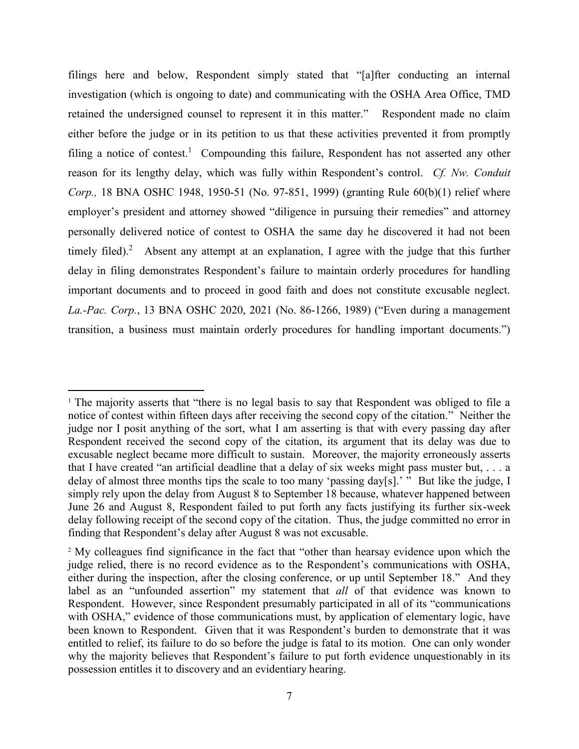filings here and below, Respondent simply stated that "[a]fter conducting an internal investigation (which is ongoing to date) and communicating with the OSHA Area Office, TMD retained the undersigned counsel to represent it in this matter." Respondent made no claim either before the judge or in its petition to us that these activities prevented it from promptly filing a notice of contest.<sup>1</sup> Compounding this failure, Respondent has not asserted any other reason for its lengthy delay, which was fully within Respondent's control. *Cf. Nw. Conduit Corp.*, 18 BNA OSHC 1948, 1950-51 (No. 97-851, 1999) (granting Rule 60(b)(1) relief where employer's president and attorney showed "diligence in pursuing their remedies" and attorney personally delivered notice of contest to OSHA the same day he discovered it had not been timely filed).<sup>2</sup> Absent any attempt at an explanation, I agree with the judge that this further delay in filing demonstrates Respondent's failure to maintain orderly procedures for handling important documents and to proceed in good faith and does not constitute excusable neglect. *La.-Pac. Corp.*, 13 BNA OSHC 2020, 2021 (No. 86-1266, 1989) ("Even during a management transition, a business must maintain orderly procedures for handling important documents.")

 $\overline{\phantom{a}}$ 

<sup>&</sup>lt;sup>1</sup> The majority asserts that "there is no legal basis to say that Respondent was obliged to file a notice of contest within fifteen days after receiving the second copy of the citation." Neither the judge nor I posit anything of the sort, what I am asserting is that with every passing day after Respondent received the second copy of the citation, its argument that its delay was due to excusable neglect became more difficult to sustain. Moreover, the majority erroneously asserts that I have created "an artificial deadline that a delay of six weeks might pass muster but, . . . a delay of almost three months tips the scale to too many 'passing day[s].' " But like the judge, I simply rely upon the delay from August 8 to September 18 because, whatever happened between June 26 and August 8, Respondent failed to put forth any facts justifying its further six-week delay following receipt of the second copy of the citation. Thus, the judge committed no error in finding that Respondent's delay after August 8 was not excusable.

<sup>&</sup>lt;sup>2</sup> My colleagues find significance in the fact that "other than hearsay evidence upon which the judge relied, there is no record evidence as to the Respondent's communications with OSHA, either during the inspection, after the closing conference, or up until September 18." And they label as an "unfounded assertion" my statement that *all* of that evidence was known to Respondent. However, since Respondent presumably participated in all of its "communications with OSHA," evidence of those communications must, by application of elementary logic, have been known to Respondent. Given that it was Respondent's burden to demonstrate that it was entitled to relief, its failure to do so before the judge is fatal to its motion. One can only wonder why the majority believes that Respondent's failure to put forth evidence unquestionably in its possession entitles it to discovery and an evidentiary hearing.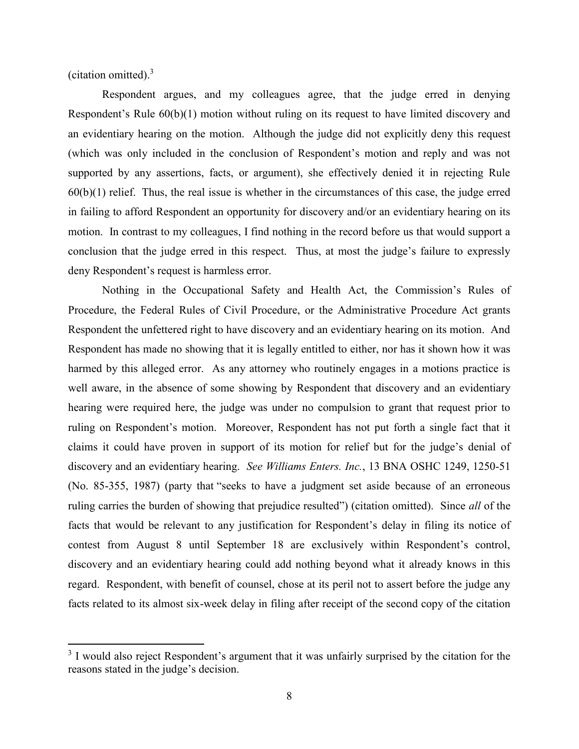(citation omitted). $3$ 

 $\overline{a}$ 

Respondent argues, and my colleagues agree, that the judge erred in denying Respondent's Rule 60(b)(1) motion without ruling on its request to have limited discovery and an evidentiary hearing on the motion. Although the judge did not explicitly deny this request (which was only included in the conclusion of Respondent's motion and reply and was not supported by any assertions, facts, or argument), she effectively denied it in rejecting Rule 60(b)(1) relief. Thus, the real issue is whether in the circumstances of this case, the judge erred in failing to afford Respondent an opportunity for discovery and/or an evidentiary hearing on its motion. In contrast to my colleagues, I find nothing in the record before us that would support a conclusion that the judge erred in this respect. Thus, at most the judge's failure to expressly deny Respondent's request is harmless error.

Nothing in the Occupational Safety and Health Act, the Commission's Rules of Procedure, the Federal Rules of Civil Procedure, or the Administrative Procedure Act grants Respondent the unfettered right to have discovery and an evidentiary hearing on its motion. And Respondent has made no showing that it is legally entitled to either, nor has it shown how it was harmed by this alleged error. As any attorney who routinely engages in a motions practice is well aware, in the absence of some showing by Respondent that discovery and an evidentiary hearing were required here, the judge was under no compulsion to grant that request prior to ruling on Respondent's motion. Moreover, Respondent has not put forth a single fact that it claims it could have proven in support of its motion for relief but for the judge's denial of discovery and an evidentiary hearing. *See Williams Enters. Inc.*, 13 BNA OSHC 1249, 1250-51 (No. 85-355, 1987) (party that "seeks to have a judgment set aside because of an erroneous ruling carries the burden of showing that prejudice resulted") (citation omitted). Since *all* of the facts that would be relevant to any justification for Respondent's delay in filing its notice of contest from August 8 until September 18 are exclusively within Respondent's control, discovery and an evidentiary hearing could add nothing beyond what it already knows in this regard. Respondent, with benefit of counsel, chose at its peril not to assert before the judge any facts related to its almost six-week delay in filing after receipt of the second copy of the citation

<sup>&</sup>lt;sup>3</sup> I would also reject Respondent's argument that it was unfairly surprised by the citation for the reasons stated in the judge's decision.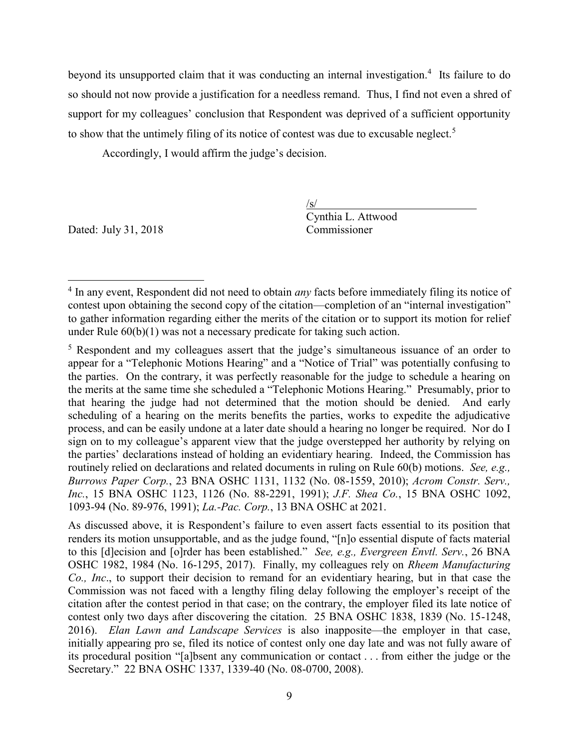beyond its unsupported claim that it was conducting an internal investigation.<sup>4</sup> Its failure to do so should not now provide a justification for a needless remand. Thus, I find not even a shred of support for my colleagues' conclusion that Respondent was deprived of a sufficient opportunity to show that the untimely filing of its notice of contest was due to excusable neglect.<sup>5</sup>

Accordingly, I would affirm the judge's decision.

Dated: July 31, 2018 Commissioner

l

 $\sqrt{s/}$ Cynthia L. Attwood

As discussed above, it is Respondent's failure to even assert facts essential to its position that renders its motion unsupportable, and as the judge found, "[n]o essential dispute of facts material to this [d]ecision and [o]rder has been established." *See, e.g., Evergreen Envtl. Serv.*, 26 BNA OSHC 1982, 1984 (No. 16-1295, 2017). Finally, my colleagues rely on *Rheem Manufacturing Co., Inc*., to support their decision to remand for an evidentiary hearing, but in that case the Commission was not faced with a lengthy filing delay following the employer's receipt of the citation after the contest period in that case; on the contrary, the employer filed its late notice of contest only two days after discovering the citation. 25 BNA OSHC 1838, 1839 (No. 15-1248, 2016). *Elan Lawn and Landscape Services* is also inapposite—the employer in that case, initially appearing pro se, filed its notice of contest only one day late and was not fully aware of its procedural position "[a]bsent any communication or contact . . . from either the judge or the Secretary." 22 BNA OSHC 1337, 1339-40 (No. 08-0700, 2008).

<sup>4</sup> In any event, Respondent did not need to obtain *any* facts before immediately filing its notice of contest upon obtaining the second copy of the citation—completion of an "internal investigation" to gather information regarding either the merits of the citation or to support its motion for relief under Rule 60(b)(1) was not a necessary predicate for taking such action.

<sup>5</sup> Respondent and my colleagues assert that the judge's simultaneous issuance of an order to appear for a "Telephonic Motions Hearing" and a "Notice of Trial" was potentially confusing to the parties. On the contrary, it was perfectly reasonable for the judge to schedule a hearing on the merits at the same time she scheduled a "Telephonic Motions Hearing." Presumably, prior to that hearing the judge had not determined that the motion should be denied. And early scheduling of a hearing on the merits benefits the parties, works to expedite the adjudicative process, and can be easily undone at a later date should a hearing no longer be required. Nor do I sign on to my colleague's apparent view that the judge overstepped her authority by relying on the parties' declarations instead of holding an evidentiary hearing. Indeed, the Commission has routinely relied on declarations and related documents in ruling on Rule 60(b) motions. *See, e.g., Burrows Paper Corp.*, 23 BNA OSHC 1131, 1132 (No. 08-1559, 2010); *Acrom Constr. Serv., Inc.*, 15 BNA OSHC 1123, 1126 (No. 88-2291, 1991); *J.F. Shea Co.*, 15 BNA OSHC 1092, 1093-94 (No. 89-976, 1991); *La.-Pac. Corp.*, 13 BNA OSHC at 2021.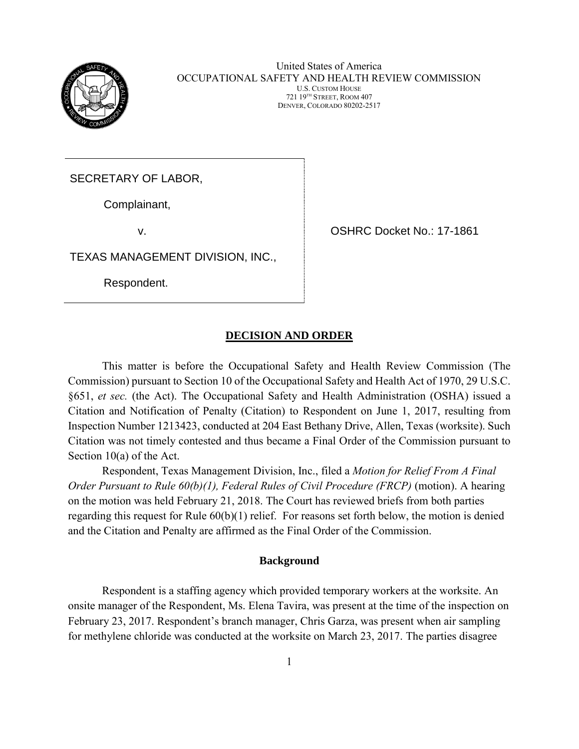

United States of America OCCUPATIONAL SAFETY AND HEALTH REVIEW COMMISSION U.S. CUSTOM HOUSE 721 19TH STREET, ROOM 407 DENVER, COLORADO 80202-2517

SECRETARY OF LABOR,

Complainant,

v.

OSHRC Docket No.: 17-1861

TEXAS MANAGEMENT DIVISION, INC.,

Respondent.

# **DECISION AND ORDER**

This matter is before the Occupational Safety and Health Review Commission (The Commission) pursuant to Section 10 of the Occupational Safety and Health Act of 1970, 29 U.S.C. §651, *et sec.* (the Act). The Occupational Safety and Health Administration (OSHA) issued a Citation and Notification of Penalty (Citation) to Respondent on June 1, 2017, resulting from Inspection Number 1213423, conducted at 204 East Bethany Drive, Allen, Texas (worksite). Such Citation was not timely contested and thus became a Final Order of the Commission pursuant to Section 10(a) of the Act.

Respondent, Texas Management Division, Inc., filed a *Motion for Relief From A Final Order Pursuant to Rule 60(b)(1), Federal Rules of Civil Procedure (FRCP)* (motion). A hearing on the motion was held February 21, 2018. The Court has reviewed briefs from both parties regarding this request for Rule  $60(b)(1)$  relief. For reasons set forth below, the motion is denied and the Citation and Penalty are affirmed as the Final Order of the Commission.

#### **Background**

Respondent is a staffing agency which provided temporary workers at the worksite. An onsite manager of the Respondent, Ms. Elena Tavira, was present at the time of the inspection on February 23, 2017. Respondent's branch manager, Chris Garza, was present when air sampling for methylene chloride was conducted at the worksite on March 23, 2017. The parties disagree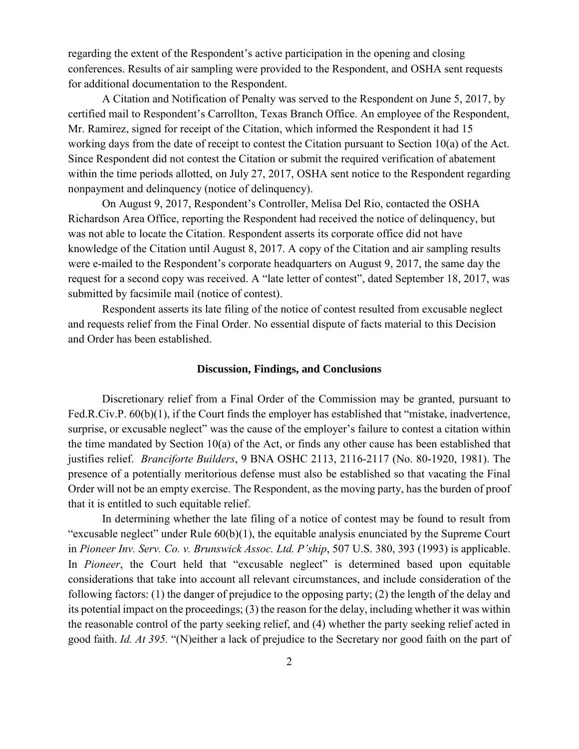regarding the extent of the Respondent's active participation in the opening and closing conferences. Results of air sampling were provided to the Respondent, and OSHA sent requests for additional documentation to the Respondent.

A Citation and Notification of Penalty was served to the Respondent on June 5, 2017, by certified mail to Respondent's Carrollton, Texas Branch Office. An employee of the Respondent, Mr. Ramirez, signed for receipt of the Citation, which informed the Respondent it had 15 working days from the date of receipt to contest the Citation pursuant to Section 10(a) of the Act. Since Respondent did not contest the Citation or submit the required verification of abatement within the time periods allotted, on July 27, 2017, OSHA sent notice to the Respondent regarding nonpayment and delinquency (notice of delinquency).

On August 9, 2017, Respondent's Controller, Melisa Del Rio, contacted the OSHA Richardson Area Office, reporting the Respondent had received the notice of delinquency, but was not able to locate the Citation. Respondent asserts its corporate office did not have knowledge of the Citation until August 8, 2017. A copy of the Citation and air sampling results were e-mailed to the Respondent's corporate headquarters on August 9, 2017, the same day the request for a second copy was received. A "late letter of contest", dated September 18, 2017, was submitted by facsimile mail (notice of contest).

Respondent asserts its late filing of the notice of contest resulted from excusable neglect and requests relief from the Final Order. No essential dispute of facts material to this Decision and Order has been established.

#### **Discussion, Findings, and Conclusions**

Discretionary relief from a Final Order of the Commission may be granted, pursuant to Fed.R.Civ.P. 60(b)(1), if the Court finds the employer has established that "mistake, inadvertence, surprise, or excusable neglect" was the cause of the employer's failure to contest a citation within the time mandated by Section 10(a) of the Act, or finds any other cause has been established that justifies relief. *Branciforte Builders*, 9 BNA OSHC 2113, 2116-2117 (No. 80-1920, 1981). The presence of a potentially meritorious defense must also be established so that vacating the Final Order will not be an empty exercise. The Respondent, as the moving party, has the burden of proof that it is entitled to such equitable relief.

In determining whether the late filing of a notice of contest may be found to result from "excusable neglect" under Rule  $60(b)(1)$ , the equitable analysis enunciated by the Supreme Court in *Pioneer Inv. Serv. Co. v. Brunswick Assoc. Ltd. P'ship*, 507 U.S. 380, 393 (1993) is applicable. In *Pioneer*, the Court held that "excusable neglect" is determined based upon equitable considerations that take into account all relevant circumstances, and include consideration of the following factors: (1) the danger of prejudice to the opposing party; (2) the length of the delay and its potential impact on the proceedings; (3) the reason for the delay, including whether it was within the reasonable control of the party seeking relief, and (4) whether the party seeking relief acted in good faith. *Id. At 395.* "(N)either a lack of prejudice to the Secretary nor good faith on the part of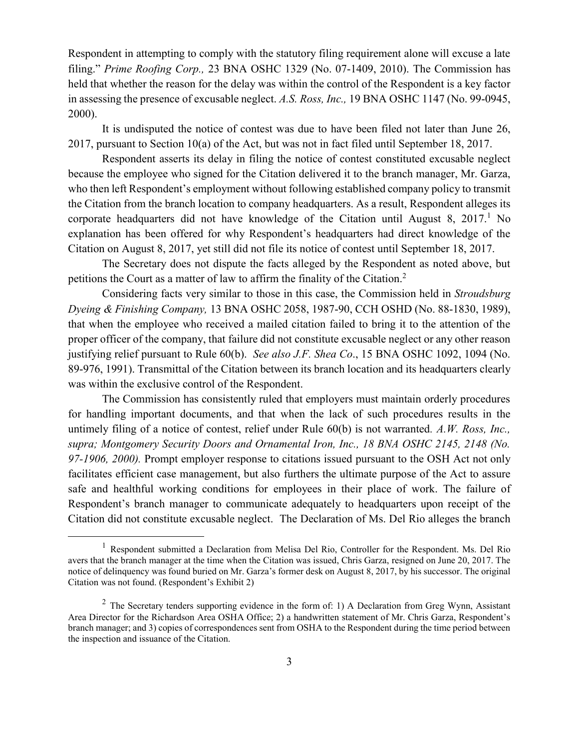Respondent in attempting to comply with the statutory filing requirement alone will excuse a late filing." *Prime Roofing Corp.,* 23 BNA OSHC 1329 (No. 07-1409, 2010). The Commission has held that whether the reason for the delay was within the control of the Respondent is a key factor in assessing the presence of excusable neglect. *A.S. Ross, Inc.,* 19 BNA OSHC 1147 (No. 99-0945, 2000).

It is undisputed the notice of contest was due to have been filed not later than June 26, 2017, pursuant to Section 10(a) of the Act, but was not in fact filed until September 18, 2017.

Respondent asserts its delay in filing the notice of contest constituted excusable neglect because the employee who signed for the Citation delivered it to the branch manager, Mr. Garza, who then left Respondent's employment without following established company policy to transmit the Citation from the branch location to company headquarters. As a result, Respondent alleges its corporate headquarters did not have knowledge of the Citation until August 8, 2017. <sup>1</sup> No explanation has been offered for why Respondent's headquarters had direct knowledge of the Citation on August 8, 2017, yet still did not file its notice of contest until September 18, 2017.

The Secretary does not dispute the facts alleged by the Respondent as noted above, but petitions the Court as a matter of law to affirm the finality of the Citation.<sup>2</sup>

Considering facts very similar to those in this case, the Commission held in *Stroudsburg Dyeing & Finishing Company,* 13 BNA OSHC 2058, 1987-90, CCH OSHD (No. 88-1830, 1989), that when the employee who received a mailed citation failed to bring it to the attention of the proper officer of the company, that failure did not constitute excusable neglect or any other reason justifying relief pursuant to Rule 60(b). *See also J.F. Shea Co*., 15 BNA OSHC 1092, 1094 (No. 89-976, 1991). Transmittal of the Citation between its branch location and its headquarters clearly was within the exclusive control of the Respondent.

The Commission has consistently ruled that employers must maintain orderly procedures for handling important documents, and that when the lack of such procedures results in the untimely filing of a notice of contest, relief under Rule 60(b) is not warranted*. A.W. Ross, Inc., supra; Montgomery Security Doors and Ornamental Iron, Inc., 18 BNA OSHC 2145, 2148 (No. 97-1906, 2000).* Prompt employer response to citations issued pursuant to the OSH Act not only facilitates efficient case management, but also furthers the ultimate purpose of the Act to assure safe and healthful working conditions for employees in their place of work. The failure of Respondent's branch manager to communicate adequately to headquarters upon receipt of the Citation did not constitute excusable neglect. The Declaration of Ms. Del Rio alleges the branch

 $\overline{a}$ 

<sup>&</sup>lt;sup>1</sup> Respondent submitted a Declaration from Melisa Del Rio, Controller for the Respondent. Ms. Del Rio avers that the branch manager at the time when the Citation was issued, Chris Garza, resigned on June 20, 2017. The notice of delinquency was found buried on Mr. Garza's former desk on August 8, 2017, by his successor. The original Citation was not found. (Respondent's Exhibit 2)

 $2$  The Secretary tenders supporting evidence in the form of: 1) A Declaration from Greg Wynn, Assistant Area Director for the Richardson Area OSHA Office; 2) a handwritten statement of Mr. Chris Garza, Respondent's branch manager; and 3) copies of correspondences sent from OSHA to the Respondent during the time period between the inspection and issuance of the Citation.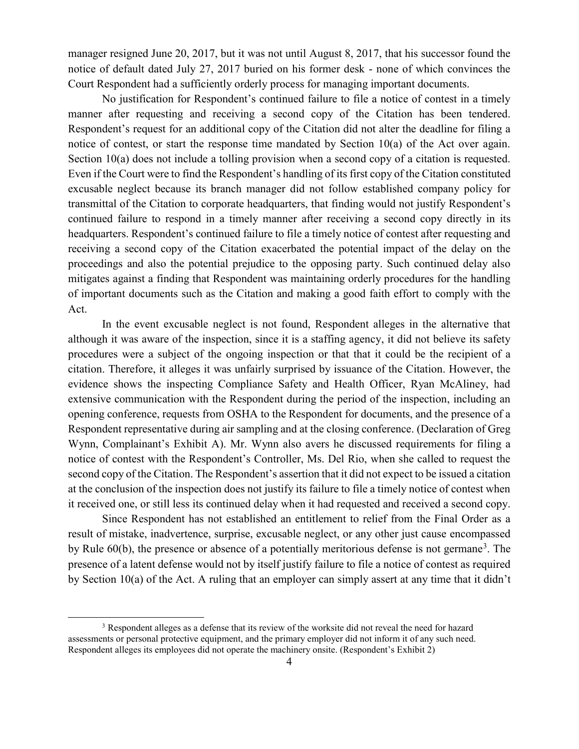manager resigned June 20, 2017, but it was not until August 8, 2017, that his successor found the notice of default dated July 27, 2017 buried on his former desk - none of which convinces the Court Respondent had a sufficiently orderly process for managing important documents.

No justification for Respondent's continued failure to file a notice of contest in a timely manner after requesting and receiving a second copy of the Citation has been tendered. Respondent's request for an additional copy of the Citation did not alter the deadline for filing a notice of contest, or start the response time mandated by Section 10(a) of the Act over again. Section 10(a) does not include a tolling provision when a second copy of a citation is requested. Even if the Court were to find the Respondent's handling of its first copy of the Citation constituted excusable neglect because its branch manager did not follow established company policy for transmittal of the Citation to corporate headquarters, that finding would not justify Respondent's continued failure to respond in a timely manner after receiving a second copy directly in its headquarters. Respondent's continued failure to file a timely notice of contest after requesting and receiving a second copy of the Citation exacerbated the potential impact of the delay on the proceedings and also the potential prejudice to the opposing party. Such continued delay also mitigates against a finding that Respondent was maintaining orderly procedures for the handling of important documents such as the Citation and making a good faith effort to comply with the Act.

In the event excusable neglect is not found, Respondent alleges in the alternative that although it was aware of the inspection, since it is a staffing agency, it did not believe its safety procedures were a subject of the ongoing inspection or that that it could be the recipient of a citation. Therefore, it alleges it was unfairly surprised by issuance of the Citation. However, the evidence shows the inspecting Compliance Safety and Health Officer, Ryan McAliney, had extensive communication with the Respondent during the period of the inspection, including an opening conference, requests from OSHA to the Respondent for documents, and the presence of a Respondent representative during air sampling and at the closing conference. (Declaration of Greg Wynn, Complainant's Exhibit A). Mr. Wynn also avers he discussed requirements for filing a notice of contest with the Respondent's Controller, Ms. Del Rio, when she called to request the second copy of the Citation. The Respondent's assertion that it did not expect to be issued a citation at the conclusion of the inspection does not justify its failure to file a timely notice of contest when it received one, or still less its continued delay when it had requested and received a second copy.

Since Respondent has not established an entitlement to relief from the Final Order as a result of mistake, inadvertence, surprise, excusable neglect, or any other just cause encompassed by Rule  $60(b)$ , the presence or absence of a potentially meritorious defense is not germane<sup>3</sup>. The presence of a latent defense would not by itself justify failure to file a notice of contest as required by Section 10(a) of the Act. A ruling that an employer can simply assert at any time that it didn't

 $\overline{a}$ 

<sup>&</sup>lt;sup>3</sup> Respondent alleges as a defense that its review of the worksite did not reveal the need for hazard assessments or personal protective equipment, and the primary employer did not inform it of any such need. Respondent alleges its employees did not operate the machinery onsite. (Respondent's Exhibit 2)